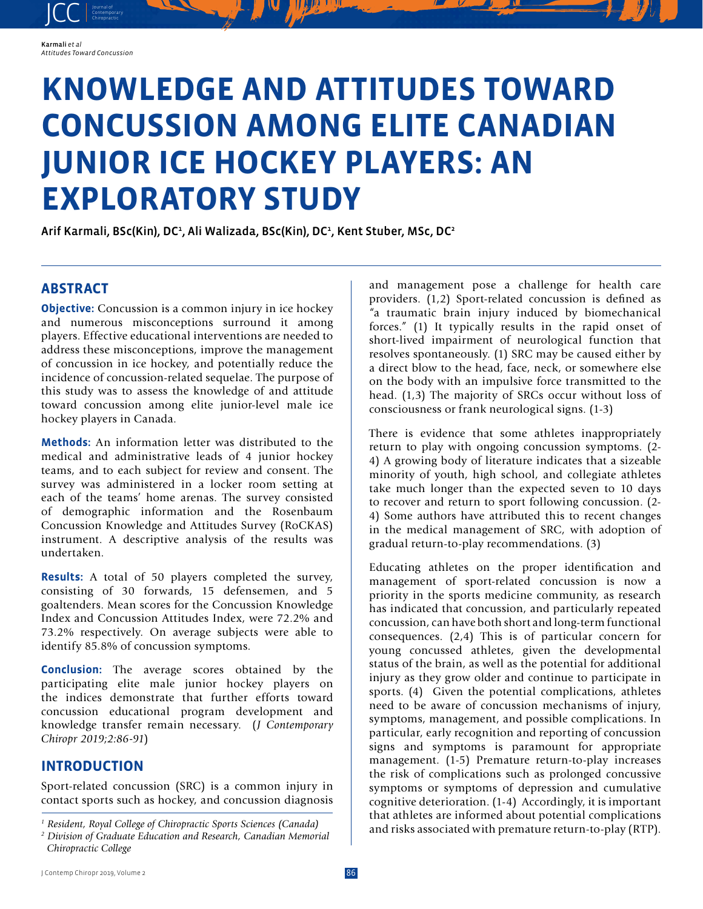JCC contemporary Contemporary

# **KNOWLEDGE AND ATTITUDES TOWARD CONCUSSION AMONG ELITE CANADIAN JUNIOR ICE HOCKEY PLAYERS: AN EXPLORATORY STUDY**

Arif Karmali, BSc(Kin), DC<sup>1</sup>, Ali Walizada, BSc(Kin), DC<sup>1</sup>, Kent Stuber, MSc, DC<sup>2</sup>

# **ABSTRACT**

**Objective:** Concussion is a common injury in ice hockey and numerous misconceptions surround it among players. Effective educational interventions are needed to address these misconceptions, improve the management of concussion in ice hockey, and potentially reduce the incidence of concussion-related sequelae. The purpose of this study was to assess the knowledge of and attitude toward concussion among elite junior-level male ice hockey players in Canada.

**Methods:** An information letter was distributed to the medical and administrative leads of 4 junior hockey teams, and to each subject for review and consent. The survey was administered in a locker room setting at each of the teams' home arenas. The survey consisted of demographic information and the Rosenbaum Concussion Knowledge and Attitudes Survey (RoCKAS) instrument. A descriptive analysis of the results was undertaken.

**Results:** A total of 50 players completed the survey, consisting of 30 forwards, 15 defensemen, and 5 goaltenders. Mean scores for the Concussion Knowledge Index and Concussion Attitudes Index, were 72.2% and 73.2% respectively. On average subjects were able to identify 85.8% of concussion symptoms.

**Conclusion:** The average scores obtained by the participating elite male junior hockey players on the indices demonstrate that further efforts toward concussion educational program development and knowledge transfer remain necessary. (*J Contemporary Chiropr 2019;2:86-91*)

# **INTRODUCTION**

Sport-related concussion (SRC) is a common injury in contact sports such as hockey, and concussion diagnosis and management pose a challenge for health care providers. (1,2) Sport-related concussion is defined as "a traumatic brain injury induced by biomechanical forces." (1) It typically results in the rapid onset of short-lived impairment of neurological function that resolves spontaneously. (1) SRC may be caused either by a direct blow to the head, face, neck, or somewhere else on the body with an impulsive force transmitted to the head. (1,3) The majority of SRCs occur without loss of consciousness or frank neurological signs. (1-3)

There is evidence that some athletes inappropriately return to play with ongoing concussion symptoms. (2- 4) A growing body of literature indicates that a sizeable minority of youth, high school, and collegiate athletes take much longer than the expected seven to 10 days to recover and return to sport following concussion. (2- 4) Some authors have attributed this to recent changes in the medical management of SRC, with adoption of gradual return-to-play recommendations. (3)

Educating athletes on the proper identification and management of sport-related concussion is now a priority in the sports medicine community, as research has indicated that concussion, and particularly repeated concussion, can have both short and long-term functional consequences. (2,4) This is of particular concern for young concussed athletes, given the developmental status of the brain, as well as the potential for additional injury as they grow older and continue to participate in sports. (4) Given the potential complications, athletes need to be aware of concussion mechanisms of injury, symptoms, management, and possible complications. In particular, early recognition and reporting of concussion signs and symptoms is paramount for appropriate management. (1-5) Premature return-to-play increases the risk of complications such as prolonged concussive symptoms or symptoms of depression and cumulative cognitive deterioration. (1-4) Accordingly, it is important that athletes are informed about potential complications and risks associated with premature return-to-play (RTP).

*<sup>1</sup> Resident, Royal College of Chiropractic Sports Sciences (Canada)*

*<sup>2</sup> Division of Graduate Education and Research, Canadian Memorial Chiropractic College*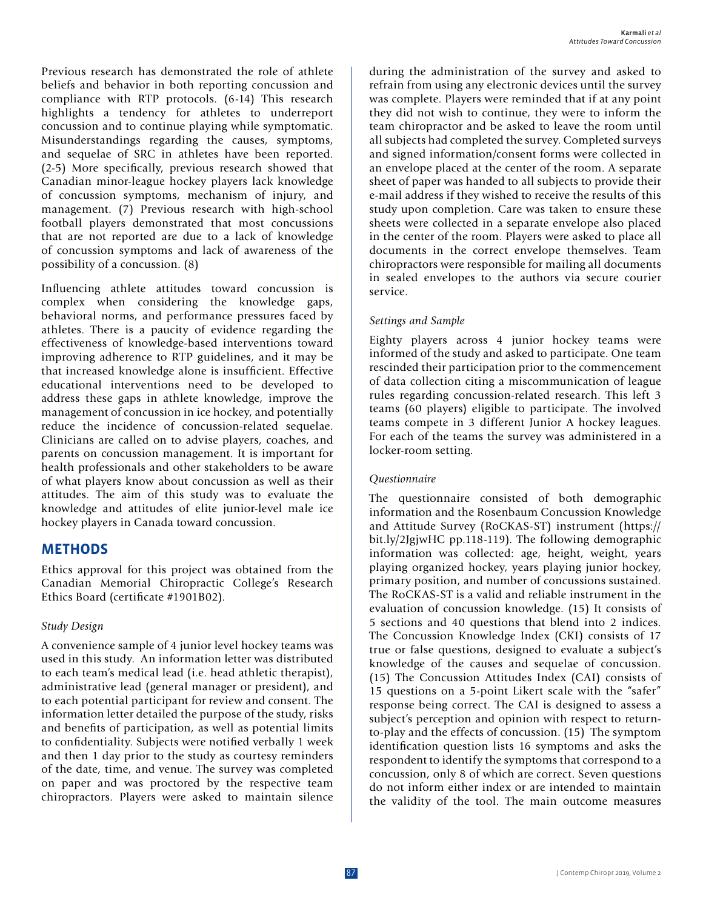Previous research has demonstrated the role of athlete beliefs and behavior in both reporting concussion and compliance with RTP protocols. (6-14) This research highlights a tendency for athletes to underreport concussion and to continue playing while symptomatic. Misunderstandings regarding the causes, symptoms, and sequelae of SRC in athletes have been reported. (2-5) More specifically, previous research showed that Canadian minor-league hockey players lack knowledge of concussion symptoms, mechanism of injury, and management. (7) Previous research with high-school football players demonstrated that most concussions that are not reported are due to a lack of knowledge of concussion symptoms and lack of awareness of the possibility of a concussion. (8)

Influencing athlete attitudes toward concussion is complex when considering the knowledge gaps, behavioral norms, and performance pressures faced by athletes. There is a paucity of evidence regarding the effectiveness of knowledge-based interventions toward improving adherence to RTP guidelines, and it may be that increased knowledge alone is insufficient. Effective educational interventions need to be developed to address these gaps in athlete knowledge, improve the management of concussion in ice hockey, and potentially reduce the incidence of concussion-related sequelae. Clinicians are called on to advise players, coaches, and parents on concussion management. It is important for health professionals and other stakeholders to be aware of what players know about concussion as well as their attitudes. The aim of this study was to evaluate the knowledge and attitudes of elite junior-level male ice hockey players in Canada toward concussion.

## **METHODS**

Ethics approval for this project was obtained from the Canadian Memorial Chiropractic College's Research Ethics Board (certificate #1901B02).

#### *Study Design*

A convenience sample of 4 junior level hockey teams was used in this study. An information letter was distributed to each team's medical lead (i.e. head athletic therapist), administrative lead (general manager or president), and to each potential participant for review and consent. The information letter detailed the purpose of the study, risks and benefits of participation, as well as potential limits to confidentiality. Subjects were notified verbally 1 week and then 1 day prior to the study as courtesy reminders of the date, time, and venue. The survey was completed on paper and was proctored by the respective team chiropractors. Players were asked to maintain silence

during the administration of the survey and asked to refrain from using any electronic devices until the survey was complete. Players were reminded that if at any point they did not wish to continue, they were to inform the team chiropractor and be asked to leave the room until all subjects had completed the survey. Completed surveys and signed information/consent forms were collected in an envelope placed at the center of the room. A separate sheet of paper was handed to all subjects to provide their e-mail address if they wished to receive the results of this study upon completion. Care was taken to ensure these sheets were collected in a separate envelope also placed in the center of the room. Players were asked to place all documents in the correct envelope themselves. Team chiropractors were responsible for mailing all documents in sealed envelopes to the authors via secure courier service.

#### *Settings and Sample*

Eighty players across 4 junior hockey teams were informed of the study and asked to participate. One team rescinded their participation prior to the commencement of data collection citing a miscommunication of league rules regarding concussion-related research. This left 3 teams (60 players) eligible to participate. The involved teams compete in 3 different Junior A hockey leagues. For each of the teams the survey was administered in a locker-room setting.

#### *Questionnaire*

The questionnaire consisted of both demographic information and the Rosenbaum Concussion Knowledge and Attitude Survey (RoCKAS-ST) instrument (https:// bit.ly/2JgjwHC pp.118-119). The following demographic information was collected: age, height, weight, years playing organized hockey, years playing junior hockey, primary position, and number of concussions sustained. The RoCKAS-ST is a valid and reliable instrument in the evaluation of concussion knowledge. (15) It consists of 5 sections and 40 questions that blend into 2 indices. The Concussion Knowledge Index (CKI) consists of 17 true or false questions, designed to evaluate a subject's knowledge of the causes and sequelae of concussion. (15) The Concussion Attitudes Index (CAI) consists of 15 questions on a 5-point Likert scale with the "safer" response being correct. The CAI is designed to assess a subject's perception and opinion with respect to returnto-play and the effects of concussion. (15) The symptom identification question lists 16 symptoms and asks the respondent to identify the symptoms that correspond to a concussion, only 8 of which are correct. Seven questions do not inform either index or are intended to maintain the validity of the tool. The main outcome measures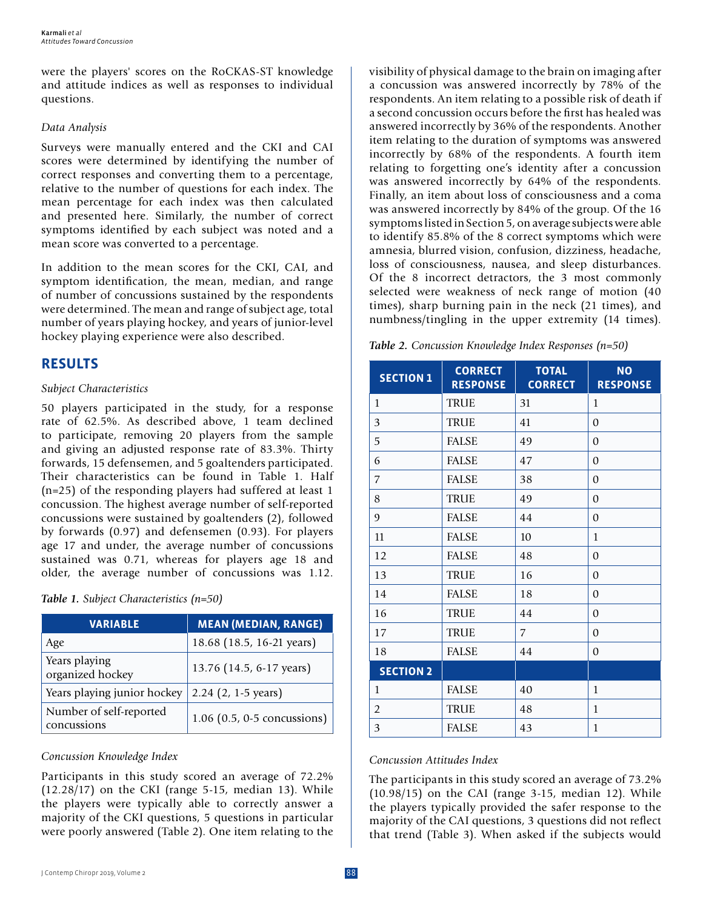were the players' scores on the RoCKAS-ST knowledge and attitude indices as well as responses to individual questions.

#### *Data Analysis*

Surveys were manually entered and the CKI and CAI scores were determined by identifying the number of correct responses and converting them to a percentage, relative to the number of questions for each index. The mean percentage for each index was then calculated and presented here. Similarly, the number of correct symptoms identified by each subject was noted and a mean score was converted to a percentage.

In addition to the mean scores for the CKI, CAI, and symptom identification, the mean, median, and range of number of concussions sustained by the respondents were determined. The mean and range of subject age, total number of years playing hockey, and years of junior-level hockey playing experience were also described.

# **RESULTS**

#### *Subject Characteristics*

50 players participated in the study, for a response rate of 62.5%. As described above, 1 team declined to participate, removing 20 players from the sample and giving an adjusted response rate of 83.3%. Thirty forwards, 15 defensemen, and 5 goaltenders participated. Their characteristics can be found in Table 1. Half (n=25) of the responding players had suffered at least 1 concussion. The highest average number of self-reported concussions were sustained by goaltenders (2), followed by forwards (0.97) and defensemen (0.93). For players age 17 and under, the average number of concussions sustained was 0.71, whereas for players age 18 and older, the average number of concussions was 1.12.

|  |  | Table 1. Subject Characteristics $(n=50)$ |  |
|--|--|-------------------------------------------|--|
|--|--|-------------------------------------------|--|

| <b>VARIABLE</b>                        | <b>MEAN (MEDIAN, RANGE)</b> |
|----------------------------------------|-----------------------------|
| Age                                    | 18.68 (18.5, 16-21 years)   |
| Years playing<br>organized hockey      | 13.76 (14.5, 6-17 years)    |
| Years playing junior hockey            | $2.24$ (2, 1-5 years)       |
| Number of self-reported<br>concussions | 1.06 (0.5, 0-5 concussions) |

#### *Concussion Knowledge Index*

Participants in this study scored an average of 72.2% (12.28/17) on the CKI (range 5-15, median 13). While the players were typically able to correctly answer a majority of the CKI questions, 5 questions in particular were poorly answered (Table 2). One item relating to the visibility of physical damage to the brain on imaging after a concussion was answered incorrectly by 78% of the respondents. An item relating to a possible risk of death if a second concussion occurs before the first has healed was answered incorrectly by 36% of the respondents. Another item relating to the duration of symptoms was answered incorrectly by 68% of the respondents. A fourth item relating to forgetting one's identity after a concussion was answered incorrectly by 64% of the respondents. Finally, an item about loss of consciousness and a coma was answered incorrectly by 84% of the group. Of the 16 symptoms listed in Section 5, on average subjects were able to identify 85.8% of the 8 correct symptoms which were amnesia, blurred vision, confusion, dizziness, headache, loss of consciousness, nausea, and sleep disturbances. Of the 8 incorrect detractors, the 3 most commonly selected were weakness of neck range of motion (40 times), sharp burning pain in the neck (21 times), and numbness/tingling in the upper extremity (14 times).

|  |  |  | Table 2. Concussion Knowledge Index Responses (n=50) |  |
|--|--|--|------------------------------------------------------|--|
|--|--|--|------------------------------------------------------|--|

| <b>SECTION 1</b> | <b>CORRECT</b><br><b>RESPONSE</b> | <b>TOTAL</b><br><b>CORRECT</b> | <b>NO</b><br><b>RESPONSE</b> |
|------------------|-----------------------------------|--------------------------------|------------------------------|
| 1                | <b>TRUE</b>                       | 31                             | $\mathbf{1}$                 |
| 3                | <b>TRUE</b>                       | 41                             | $\mathbf{0}$                 |
| 5                | <b>FALSE</b>                      | 49                             | $\mathbf{0}$                 |
| 6                | <b>FALSE</b>                      | 47                             | $\theta$                     |
| 7                | <b>FALSE</b>                      | 38                             | $\mathbf{0}$                 |
| 8                | <b>TRUE</b>                       | 49                             | $\mathbf{0}$                 |
| 9                | <b>FALSE</b>                      | 44                             | $\Omega$                     |
| 11               | <b>FALSE</b>                      | 10                             | $\mathbf{1}$                 |
| 12               | <b>FALSE</b>                      | 48                             | $\mathbf{0}$                 |
| 13               | <b>TRUE</b>                       | 16                             | $\mathbf{0}$                 |
| 14               | <b>FALSE</b>                      | 18                             | $\mathbf{0}$                 |
| 16               | <b>TRUE</b>                       | 44                             | $\mathbf{0}$                 |
| 17               | <b>TRUE</b>                       | $\overline{7}$                 | $\theta$                     |
| 18               | <b>FALSE</b>                      | 44                             | $\mathbf{0}$                 |
| <b>SECTION 2</b> |                                   |                                |                              |
| $\mathbf{1}$     | <b>FALSE</b>                      | 40                             | $\mathbf{1}$                 |
| $\overline{2}$   | <b>TRUE</b>                       | 48                             | $\mathbf{1}$                 |
| 3                | <b>FALSE</b>                      | 43                             | $\mathbf{1}$                 |

#### *Concussion Attitudes Index*

The participants in this study scored an average of 73.2% (10.98/15) on the CAI (range 3-15, median 12). While the players typically provided the safer response to the majority of the CAI questions, 3 questions did not reflect that trend (Table 3). When asked if the subjects would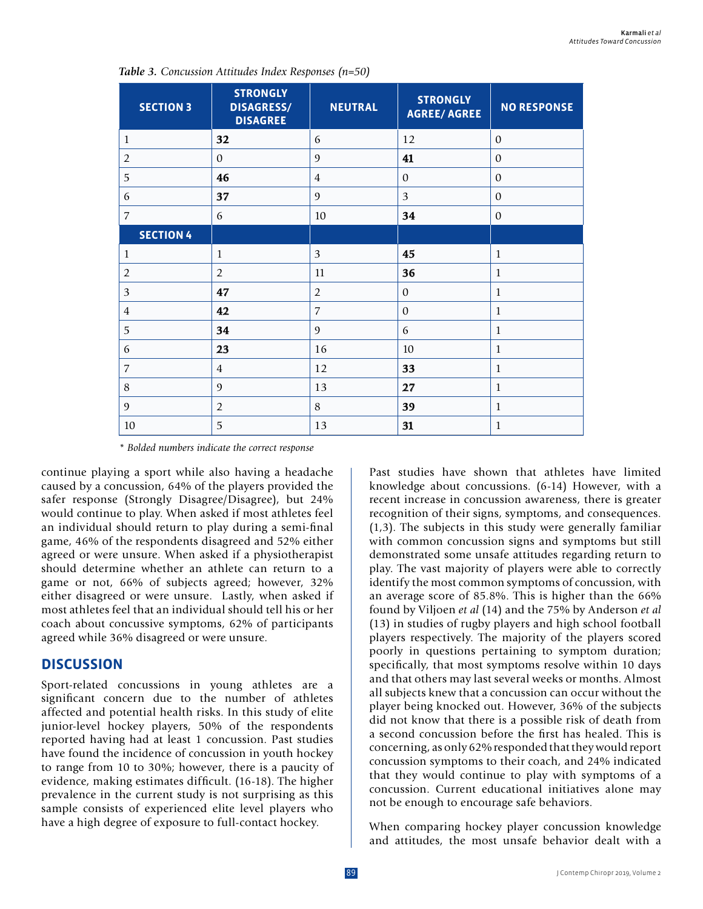| <b>SECTION 3</b> | <b>STRONGLY</b><br><b>DISAGRESS/</b><br><b>DISAGREE</b> | <b>NEUTRAL</b> | <b>STRONGLY</b><br><b>AGREE/ AGREE</b> | <b>NO RESPONSE</b> |
|------------------|---------------------------------------------------------|----------------|----------------------------------------|--------------------|
| $\mathbf{1}$     | 32                                                      | 6              | 12                                     | $\mathbf{0}$       |
| $\overline{2}$   | $\mathbf{0}$                                            | $\mathfrak{g}$ | 41                                     | $\theta$           |
| 5                | 46                                                      | $\overline{4}$ | $\theta$                               | $\mathbf{0}$       |
| 6                | 37                                                      | $\overline{9}$ | 3                                      | $\theta$           |
| $\overline{7}$   | 6                                                       | $10\,$         | 34                                     | $\mathbf{0}$       |
| <b>SECTION 4</b> |                                                         |                |                                        |                    |
| $\mathbf{1}$     | $\mathbf{1}$                                            | 3              | 45                                     | $\mathbf{1}$       |
| $\overline{2}$   | $\overline{2}$                                          | 11             | 36                                     | $\mathbf{1}$       |
| 3                | 47                                                      | $\overline{2}$ | $\theta$                               | $\mathbf{1}$       |
| $\overline{4}$   | 42                                                      | $\overline{7}$ | $\theta$                               | $\mathbf{1}$       |
| 5                | 34                                                      | $\mathfrak{g}$ | 6                                      | $\mathbf{1}$       |
| 6                | 23                                                      | 16             | 10                                     | $\mathbf{1}$       |
| $\overline{7}$   | $\overline{4}$                                          | 12             | 33                                     | $\mathbf{1}$       |
| 8                | 9                                                       | 13             | 27                                     | $\mathbf{1}$       |
| $\mathfrak{g}$   | $\overline{2}$                                          | 8              | 39                                     | $\mathbf{1}$       |
| $10\,$           | 5                                                       | 13             | 31                                     | $\mathbf{1}$       |

*Table 3. Concussion Attitudes Index Responses (n=50)*

*\* Bolded numbers indicate the correct response*

continue playing a sport while also having a headache caused by a concussion, 64% of the players provided the safer response (Strongly Disagree/Disagree), but 24% would continue to play. When asked if most athletes feel an individual should return to play during a semi-final game, 46% of the respondents disagreed and 52% either agreed or were unsure. When asked if a physiotherapist should determine whether an athlete can return to a game or not, 66% of subjects agreed; however, 32% either disagreed or were unsure. Lastly, when asked if most athletes feel that an individual should tell his or her coach about concussive symptoms, 62% of participants agreed while 36% disagreed or were unsure.

## **DISCUSSION**

Sport-related concussions in young athletes are a significant concern due to the number of athletes affected and potential health risks. In this study of elite junior-level hockey players, 50% of the respondents reported having had at least 1 concussion. Past studies have found the incidence of concussion in youth hockey to range from 10 to 30%; however, there is a paucity of evidence, making estimates difficult. (16-18). The higher prevalence in the current study is not surprising as this sample consists of experienced elite level players who have a high degree of exposure to full-contact hockey.

Past studies have shown that athletes have limited knowledge about concussions. (6-14) However, with a recent increase in concussion awareness, there is greater recognition of their signs, symptoms, and consequences. (1,3). The subjects in this study were generally familiar with common concussion signs and symptoms but still demonstrated some unsafe attitudes regarding return to play. The vast majority of players were able to correctly identify the most common symptoms of concussion, with an average score of 85.8%. This is higher than the 66% found by Viljoen *et al* (14) and the 75% by Anderson *et al*  (13) in studies of rugby players and high school football players respectively. The majority of the players scored poorly in questions pertaining to symptom duration; specifically, that most symptoms resolve within 10 days and that others may last several weeks or months. Almost all subjects knew that a concussion can occur without the player being knocked out. However, 36% of the subjects did not know that there is a possible risk of death from a second concussion before the first has healed. This is concerning, as only 62% responded that they would report concussion symptoms to their coach, and 24% indicated that they would continue to play with symptoms of a concussion. Current educational initiatives alone may not be enough to encourage safe behaviors.

When comparing hockey player concussion knowledge and attitudes, the most unsafe behavior dealt with a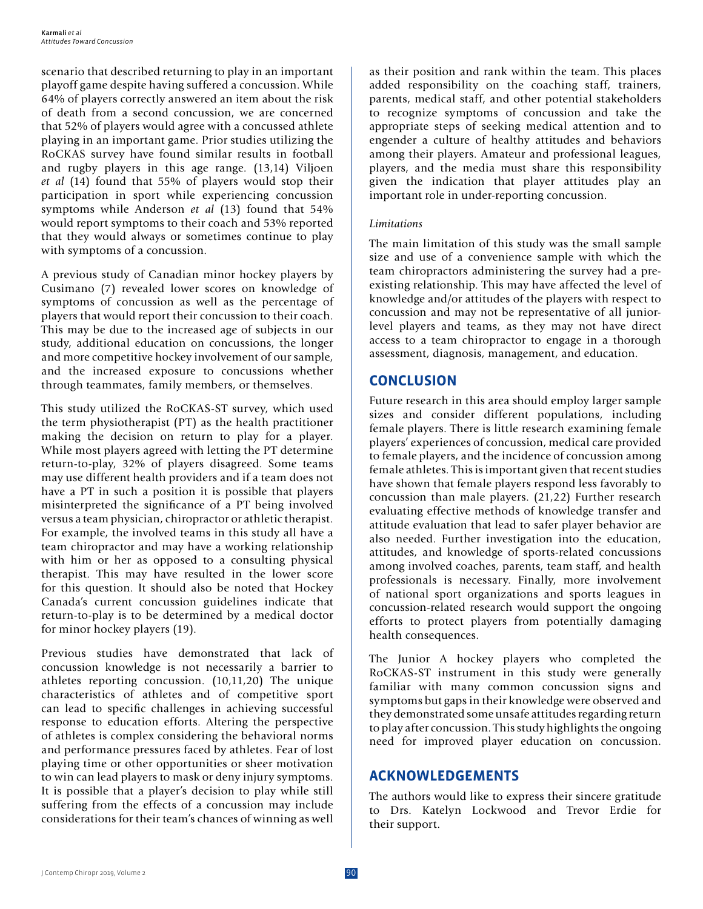scenario that described returning to play in an important playoff game despite having suffered a concussion. While 64% of players correctly answered an item about the risk of death from a second concussion, we are concerned that 52% of players would agree with a concussed athlete playing in an important game. Prior studies utilizing the RoCKAS survey have found similar results in football and rugby players in this age range. (13,14) Viljoen *et al* (14) found that 55% of players would stop their participation in sport while experiencing concussion symptoms while Anderson *et al* (13) found that 54% would report symptoms to their coach and 53% reported that they would always or sometimes continue to play with symptoms of a concussion.

A previous study of Canadian minor hockey players by Cusimano (7) revealed lower scores on knowledge of symptoms of concussion as well as the percentage of players that would report their concussion to their coach. This may be due to the increased age of subjects in our study, additional education on concussions, the longer and more competitive hockey involvement of our sample, and the increased exposure to concussions whether through teammates, family members, or themselves.

This study utilized the RoCKAS-ST survey, which used the term physiotherapist (PT) as the health practitioner making the decision on return to play for a player. While most players agreed with letting the PT determine return-to-play, 32% of players disagreed. Some teams may use different health providers and if a team does not have a PT in such a position it is possible that players misinterpreted the significance of a PT being involved versus a team physician, chiropractor or athletic therapist. For example, the involved teams in this study all have a team chiropractor and may have a working relationship with him or her as opposed to a consulting physical therapist. This may have resulted in the lower score for this question. It should also be noted that Hockey Canada's current concussion guidelines indicate that return-to-play is to be determined by a medical doctor for minor hockey players (19).

Previous studies have demonstrated that lack of concussion knowledge is not necessarily a barrier to athletes reporting concussion. (10,11,20) The unique characteristics of athletes and of competitive sport can lead to specific challenges in achieving successful response to education efforts. Altering the perspective of athletes is complex considering the behavioral norms and performance pressures faced by athletes. Fear of lost playing time or other opportunities or sheer motivation to win can lead players to mask or deny injury symptoms. It is possible that a player's decision to play while still suffering from the effects of a concussion may include considerations for their team's chances of winning as well

as their position and rank within the team. This places added responsibility on the coaching staff, trainers, parents, medical staff, and other potential stakeholders to recognize symptoms of concussion and take the appropriate steps of seeking medical attention and to engender a culture of healthy attitudes and behaviors among their players. Amateur and professional leagues, players, and the media must share this responsibility given the indication that player attitudes play an important role in under-reporting concussion.

#### *Limitations*

The main limitation of this study was the small sample size and use of a convenience sample with which the team chiropractors administering the survey had a preexisting relationship. This may have affected the level of knowledge and/or attitudes of the players with respect to concussion and may not be representative of all juniorlevel players and teams, as they may not have direct access to a team chiropractor to engage in a thorough assessment, diagnosis, management, and education.

## **CONCLUSION**

Future research in this area should employ larger sample sizes and consider different populations, including female players. There is little research examining female players' experiences of concussion, medical care provided to female players, and the incidence of concussion among female athletes. This is important given that recent studies have shown that female players respond less favorably to concussion than male players. (21,22) Further research evaluating effective methods of knowledge transfer and attitude evaluation that lead to safer player behavior are also needed. Further investigation into the education, attitudes, and knowledge of sports-related concussions among involved coaches, parents, team staff, and health professionals is necessary. Finally, more involvement of national sport organizations and sports leagues in concussion-related research would support the ongoing efforts to protect players from potentially damaging health consequences.

The Junior A hockey players who completed the RoCKAS-ST instrument in this study were generally familiar with many common concussion signs and symptoms but gaps in their knowledge were observed and they demonstrated some unsafe attitudes regarding return to play after concussion. This study highlights the ongoing need for improved player education on concussion.

## **ACKNOWLEDGEMENTS**

The authors would like to express their sincere gratitude to Drs. Katelyn Lockwood and Trevor Erdie for their support.